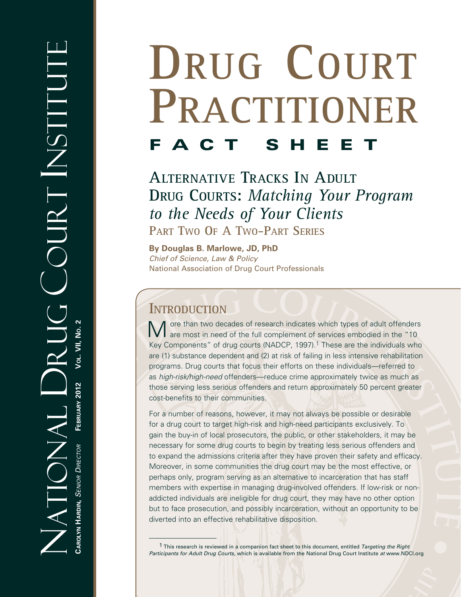# **DRUG COURT PRACTITIONER FACT SHE**

**ALTERNATIVE TRACKS IN ADULT DRUG COURTS:** *Matching Your Program to the Needs of Your Clients* **PART TWO OF A TWO-PART SERIES**

**By Douglas B. Marlowe, JD, PhD** *Chief of Science, Law & Policy* National Association of Drug Court Professionals

# **INTRODUCTION**

Ore than two decades of research indicates which types of adult offenders I are most in need of the full complement of services embodied in the "10 Key Components" of drug courts (NADCP, 1997).<sup>1</sup> These are the individuals who are (1) substance dependent and (2) at risk of failing in less intensive rehabilitation programs. Drug courts that focus their efforts on these individuals—referred to as *high-risk/high-need* offenders—reduce crime approximately twice as much as those serving less serious offenders and return approximately 50 percent greater cost-benefits to their communities.

For a number of reasons, however, it may not always be possible or desirable for a drug court to target high-risk and high-need participants exclusively. To gain the buy-in of local prosecutors, the public, or other stakeholders, it may be necessary for some drug courts to begin by treating less serious offenders and to expand the admissions criteria after they have proven their safety and efficacy. Moreover, in some communities the drug court may be the most effective, or perhaps only, program serving as an alternative to incarceration that has staff members with expertise in managing drug-involved offenders. If low-risk or nonaddicted individuals are ineligible for drug court, they may have no other option but to face prosecution, and possibly incarceration, without an opportunity to be diverted into an effective rehabilitative disposition.

<sup>1</sup> This research is reviewed in a companion fact sheet to this document, entitled *Targeting the Right Participants for Adult Drug Courts*, which is available from the National Drug Court Institute *at* www.NDCI.org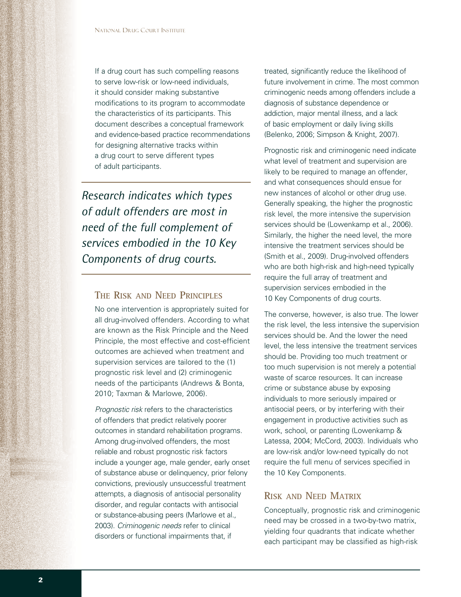If a drug court has such compelling reasons to serve low-risk or low-need individuals, it should consider making substantive modifications to its program to accommodate the characteristics of its participants. This document describes a conceptual framework and evidence-based practice recommendations for designing alternative tracks within a drug court to serve different types of adult participants.

*Research indicates which types of adult offenders are most in need of the full complement of services embodied in the 10 Key Components of drug courts.*

# **THE RISK AND NEED PRINCIPLES**

No one intervention is appropriately suited for all drug-involved offenders. According to what are known as the Risk Principle and the Need Principle, the most effective and cost-efficient outcomes are achieved when treatment and supervision services are tailored to the (1) prognostic risk level and (2) criminogenic needs of the participants (Andrews & Bonta, 2010; Taxman & Marlowe, 2006).

*Prognostic risk* refers to the characteristics of offenders that predict relatively poorer outcomes in standard rehabilitation programs. Among drug-involved offenders, the most reliable and robust prognostic risk factors include a younger age, male gender, early onset of substance abuse or delinquency, prior felony convictions, previously unsuccessful treatment attempts, a diagnosis of antisocial personality disorder, and regular contacts with antisocial or substance-abusing peers (Marlowe et al., 2003). *Criminogenic needs* refer to clinical disorders or functional impairments that, if

treated, significantly reduce the likelihood of future involvement in crime. The most common criminogenic needs among offenders include a diagnosis of substance dependence or addiction, major mental illness, and a lack of basic employment or daily living skills (Belenko, 2006; Simpson & Knight, 2007).

Prognostic risk and criminogenic need indicate what level of treatment and supervision are likely to be required to manage an offender, and what consequences should ensue for new instances of alcohol or other drug use. Generally speaking, the higher the prognostic risk level, the more intensive the supervision services should be (Lowenkamp et al., 2006). Similarly, the higher the need level, the more intensive the treatment services should be (Smith et al., 2009). Drug-involved offenders who are both high-risk and high-need typically require the full array of treatment and supervision services embodied in the 10 Key Components of drug courts.

The converse, however, is also true. The lower the risk level, the less intensive the supervision services should be. And the lower the need level, the less intensive the treatment services should be. Providing too much treatment or too much supervision is not merely a potential waste of scarce resources. It can increase crime or substance abuse by exposing individuals to more seriously impaired or antisocial peers, or by interfering with their engagement in productive activities such as work, school, or parenting (Lowenkamp & Latessa, 2004; McCord, 2003). Individuals who are low-risk and/or low-need typically do not require the full menu of services specified in the 10 Key Components.

# **RISK AND NEED MATRIX**

Conceptually, prognostic risk and criminogenic need may be crossed in a two-by-two matrix, yielding four quadrants that indicate whether each participant may be classified as high-risk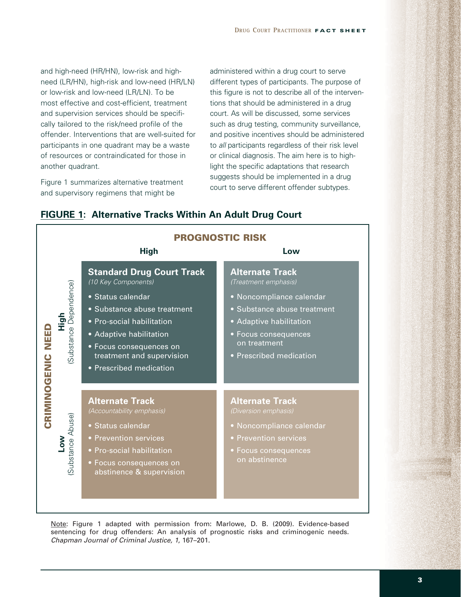and high-need (HR/HN), low-risk and highneed (LR/HN), high-risk and low-need (HR/LN) or low-risk and low-need (LR/LN). To be most effective and cost-efficient, treatment and supervision services should be specifically tailored to the risk/need profile of the offender. Interventions that are well-suited for participants in one quadrant may be a waste of resources or contraindicated for those in another quadrant.

Figure 1 summarizes alternative treatment and supervisory regimens that might be

administered within a drug court to serve different types of participants. The purpose of this figure is not to describe all of the interventions that should be administered in a drug court. As will be discussed, some services such as drug testing, community surveillance, and positive incentives should be administered to *all* participants regardless of their risk level or clinical diagnosis. The aim here is to highlight the specific adaptations that research suggests should be implemented in a drug court to serve different offender subtypes.



### **FIGURE 1: Alternative Tracks Within An Adult Drug Court**

Note: Figure 1 adapted with permission from: Marlowe, D. B. (2009). Evidence-based sentencing for drug offenders: An analysis of prognostic risks and criminogenic needs. *Chapman Journal of Criminal Justice, 1*, 167–201.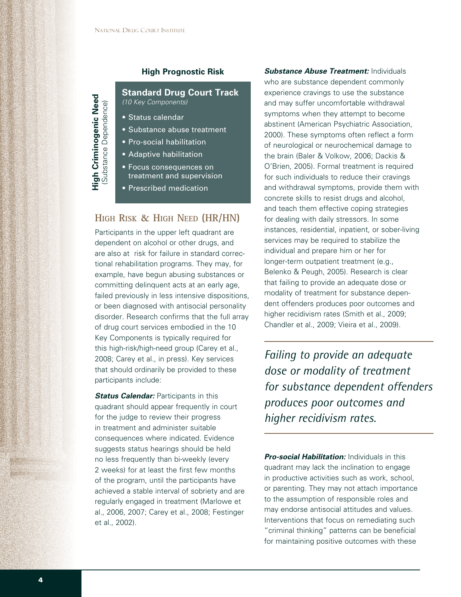#### **High Prognostic Risk**

**Standard Drug Court Track** *(10 Key Components)*

**•** Status calendar

**High Criminogenic Need**

High Criminogenic Need<br>(Substance Dependence)

(Substance Dependence)

- Substance abuse treatment
- Pro-social habilitation
- Adaptive habilitation
- Focus consequences on treatment and supervision
- Prescribed medication

# **HIGH RISK & HIGH NEED (HR/HN)**

Participants in the upper left quadrant are dependent on alcohol or other drugs, and are also at risk for failure in standard correctional rehabilitation programs. They may, for example, have begun abusing substances or committing delinquent acts at an early age, failed previously in less intensive dispositions, or been diagnosed with antisocial personality disorder. Research confirms that the full array of drug court services embodied in the 10 Key Components is typically required for this high-risk/high-need group (Carey et al., 2008; Carey et al., in press). Key services that should ordinarily be provided to these participants include:

**Status Calendar: Participants in this** quadrant should appear frequently in court for the judge to review their progress in treatment and administer suitable consequences where indicated. Evidence suggests status hearings should be held no less frequently than bi-weekly (every 2 weeks) for at least the first few months of the program, until the participants have achieved a stable interval of sobriety and are regularly engaged in treatment (Marlowe et al., 2006, 2007; Carey et al., 2008; Festinger et al., 2002).

**Substance Abuse Treatment: Individuals** who are substance dependent commonly experience cravings to use the substance and may suffer uncomfortable withdrawal symptoms when they attempt to become abstinent (American Psychiatric Association, 2000). These symptoms often reflect a form of neurological or neurochemical damage to the brain (Baler & Volkow, 2006; Dackis & O'Brien, 2005). Formal treatment is required for such individuals to reduce their cravings and withdrawal symptoms, provide them with concrete skills to resist drugs and alcohol, and teach them effective coping strategies for dealing with daily stressors. In some instances, residential, inpatient, or sober-living services may be required to stabilize the individual and prepare him or her for longer-term outpatient treatment (e.g., Belenko & Peugh, 2005). Research is clear that failing to provide an adequate dose or modality of treatment for substance dependent offenders produces poor outcomes and higher recidivism rates (Smith et al., 2009; Chandler et al., 2009; Vieira et al., 2009).

*Failing to provide an adequate dose or modality of treatment for substance dependent offenders produces poor outcomes and higher recidivism rates.*

*Pro-social Habilitation:* Individuals in this quadrant may lack the inclination to engage in productive activities such as work, school, or parenting. They may not attach importance to the assumption of responsible roles and may endorse antisocial attitudes and values. Interventions that focus on remediating such "criminal thinking" patterns can be beneficial for maintaining positive outcomes with these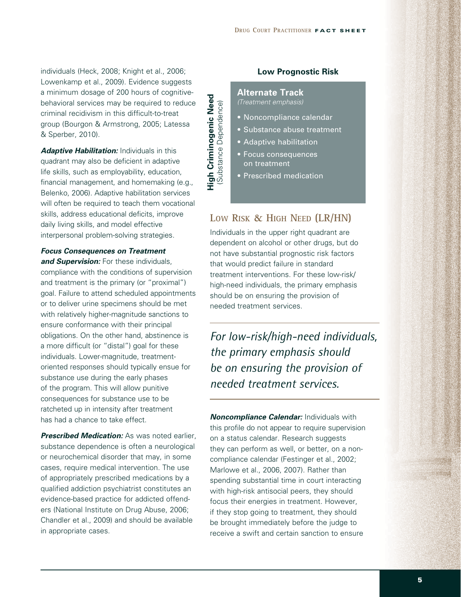individuals (Heck, 2008; Knight et al., 2006; Lowenkamp et al., 2009). Evidence suggests a minimum dosage of 200 hours of cognitivebehavioral services may be required to reduce criminal recidivism in this difficult-to-treat group (Bourgon & Armstrong, 2005; Latessa & Sperber, 2010).

**Adaptive Habilitation:** Individuals in this quadrant may also be deficient in adaptive life skills, such as employability, education, financial management, and homemaking (e.g., Belenko, 2006). Adaptive habilitation services will often be required to teach them vocational skills, address educational deficits, improve daily living skills, and model effective interpersonal problem-solving strategies.

*Focus Consequences on Treatment* 

**and Supervision:** For these individuals, compliance with the conditions of supervision and treatment is the primary (or "proximal") goal. Failure to attend scheduled appointments or to deliver urine specimens should be met with relatively higher-magnitude sanctions to ensure conformance with their principal obligations. On the other hand, abstinence is a more difficult (or "distal") goal for these individuals. Lower-magnitude, treatmentoriented responses should typically ensue for substance use during the early phases of the program. This will allow punitive consequences for substance use to be ratcheted up in intensity after treatment has had a chance to take effect.

**Prescribed Medication:** As was noted earlier, substance dependence is often a neurological or neurochemical disorder that may, in some cases, require medical intervention. The use of appropriately prescribed medications by a qualified addiction psychiatrist constitutes an evidence-based practice for addicted offenders (National Institute on Drug Abuse, 2006; Chandler et al., 2009) and should be available in appropriate cases.

High Criminogenic Need<br>(Substance Dependence) **High Criminogenic Need** (Substance Dependence)

#### **Low Prognostic Risk**

#### **Alternate Track** *(Treatment emphasis)*

- Noncompliance calendar
- Substance abuse treatment
- Adaptive habilitation
- Focus consequences on treatment
- Prescribed medication

# **LOW RISK & HIGH NEED (LR/HN)**

Individuals in the upper right quadrant are dependent on alcohol or other drugs, but do not have substantial prognostic risk factors that would predict failure in standard treatment interventions. For these low-risk/ high-need individuals, the primary emphasis should be on ensuring the provision of needed treatment services.

*For low-risk/high-need individuals, the primary emphasis should be on ensuring the provision of needed treatment services.* 

*Noncompliance Calendar:* Individuals with this profile do not appear to require supervision on a status calendar. Research suggests they can perform as well, or better, on a noncompliance calendar (Festinger et al., 2002; Marlowe et al., 2006, 2007). Rather than spending substantial time in court interacting with high-risk antisocial peers, they should focus their energies in treatment. However, if they stop going to treatment, they should be brought immediately before the judge to receive a swift and certain sanction to ensure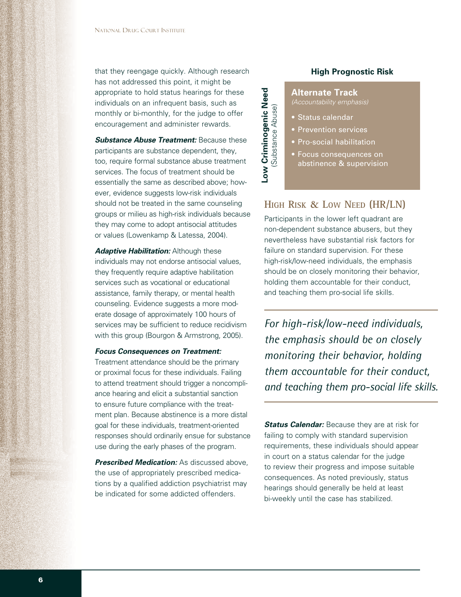that they reengage quickly. Although research has not addressed this point, it might be appropriate to hold status hearings for these individuals on an infrequent basis, such as monthly or bi-monthly, for the judge to offer encouragement and administer rewards.

**Substance Abuse Treatment: Because these** participants are substance dependent, they, too, require formal substance abuse treatment services. The focus of treatment should be essentially the same as described above; however, evidence suggests low-risk individuals should not be treated in the same counseling groups or milieu as high-risk individuals because they may come to adopt antisocial attitudes or values (Lowenkamp & Latessa, 2004).

**Adaptive Habilitation:** Although these individuals may not endorse antisocial values, they frequently require adaptive habilitation services such as vocational or educational assistance, family therapy, or mental health counseling. Evidence suggests a more moderate dosage of approximately 100 hours of services may be sufficient to reduce recidivism with this group (Bourgon & Armstrong, 2005).

#### *Focus Consequences on Treatment:*

Treatment attendance should be the primary or proximal focus for these individuals. Failing to attend treatment should trigger a noncompliance hearing and elicit a substantial sanction to ensure future compliance with the treatment plan. Because abstinence is a more distal goal for these individuals, treatment-oriented responses should ordinarily ensue for substance use during the early phases of the program.

*Prescribed Medication:* As discussed above, the use of appropriately prescribed medications by a qualified addiction psychiatrist may be indicated for some addicted offenders.

#### **High Prognostic Risk**

**Alternate Track**

**•** Status calendar

**Low Criminogenic Need** (Substance Abuse)

Low Criminogenic Need<br>(Substance Abuse)

- Prevention services
- Pro-social habilitation
- Focus consequences on abstinence & supervision

# **HIGH RISK & LOW NEED (HR/LN)**

Participants in the lower left quadrant are non-dependent substance abusers, but they nevertheless have substantial risk factors for failure on standard supervision. For these high-risk/low-need individuals, the emphasis should be on closely monitoring their behavior, holding them accountable for their conduct, and teaching them pro-social life skills.

*For high-risk/low-need individuals, the emphasis should be on closely monitoring their behavior, holding them accountable for their conduct, and teaching them pro-social life skills.* 

*Status Calendar:* Because they are at risk for failing to comply with standard supervision requirements, these individuals should appear in court on a status calendar for the judge to review their progress and impose suitable consequences. As noted previously, status hearings should generally be held at least bi-weekly until the case has stabilized.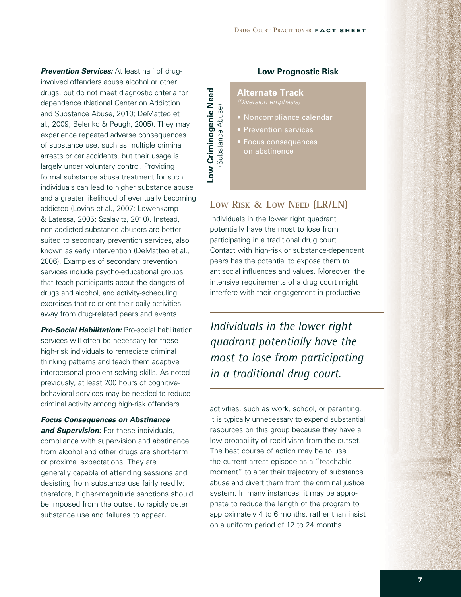**Prevention Services:** At least half of druginvolved offenders abuse alcohol or other drugs, but do not meet diagnostic criteria for dependence (National Center on Addiction and Substance Abuse, 2010; DeMatteo et al., 2009; Belenko & Peugh, 2005). They may experience repeated adverse consequences of substance use, such as multiple criminal arrests or car accidents, but their usage is largely under voluntary control. Providing formal substance abuse treatment for such individuals can lead to higher substance abuse and a greater likelihood of eventually becoming addicted (Lovins et al., 2007; Lowenkamp & Latessa, 2005; Szalavitz, 2010). Instead, non-addicted substance abusers are better suited to secondary prevention services, also known as early intervention (DeMatteo et al., 2006). Examples of secondary prevention services include psycho-educational groups that teach participants about the dangers of drugs and alcohol, and activity-scheduling exercises that re-orient their daily activities away from drug-related peers and events.

**Pro-Social Habilitation: Pro-social habilitation** services will often be necessary for these high-risk individuals to remediate criminal thinking patterns and teach them adaptive interpersonal problem-solving skills. As noted previously, at least 200 hours of cognitivebehavioral services may be needed to reduce criminal activity among high-risk offenders.

*Focus Consequences on Abstinence*  **and Supervision:** For these individuals, compliance with supervision and abstinence from alcohol and other drugs are short-term or proximal expectations. They are generally capable of attending sessions and desisting from substance use fairly readily; therefore, higher-magnitude sanctions should be imposed from the outset to rapidly deter substance use and failures to appear.

# Low Criminogenic Need **Low Criminogenic Need** Substance Abuse) (Substance Abuse)

#### **Low Prognostic Risk**

#### **Alternate Track** *(Diversion emphasis)*

- Noncompliance calendar
- Prevention services
- **Focus consequences** on abstinence

# **LOW RISK & LOW NEED (LR/LN)**

Individuals in the lower right quadrant potentially have the most to lose from participating in a traditional drug court. Contact with high-risk or substance-dependent peers has the potential to expose them to antisocial influences and values. Moreover, the intensive requirements of a drug court might interfere with their engagement in productive

*Individuals in the lower right quadrant potentially have the most to lose from participating in a traditional drug court.* 

activities, such as work, school, or parenting. It is typically unnecessary to expend substantial resources on this group because they have a low probability of recidivism from the outset. The best course of action may be to use the current arrest episode as a "teachable moment" to alter their trajectory of substance abuse and divert them from the criminal justice system. In many instances, it may be appropriate to reduce the length of the program to approximately 4 to 6 months, rather than insist on a uniform period of 12 to 24 months.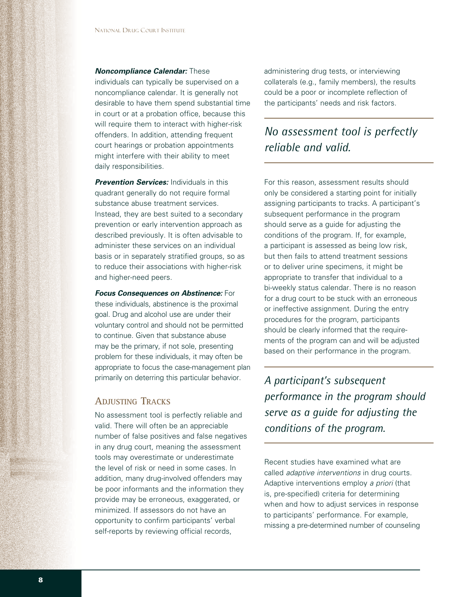#### *Noncompliance Calendar:* These

individuals can typically be supervised on a noncompliance calendar. It is generally not desirable to have them spend substantial time in court or at a probation office, because this will require them to interact with higher-risk offenders. In addition, attending frequent court hearings or probation appointments might interfere with their ability to meet daily responsibilities.

*Prevention Services:* Individuals in this quadrant generally do not require formal substance abuse treatment services. Instead, they are best suited to a secondary prevention or early intervention approach as described previously. It is often advisable to administer these services on an individual basis or in separately stratified groups, so as to reduce their associations with higher-risk and higher-need peers.

#### *Focus Consequences on Abstinence:* For

these individuals, abstinence is the proximal goal. Drug and alcohol use are under their voluntary control and should not be permitted to continue. Given that substance abuse may be the primary, if not sole, presenting problem for these individuals, it may often be appropriate to focus the case-management plan primarily on deterring this particular behavior.

## **ADJUSTING TRACKS**

No assessment tool is perfectly reliable and valid. There will often be an appreciable number of false positives and false negatives in any drug court, meaning the assessment tools may overestimate or underestimate the level of risk or need in some cases. In addition, many drug-involved offenders may be poor informants and the information they provide may be erroneous, exaggerated, or minimized. If assessors do not have an opportunity to confirm participants' verbal self-reports by reviewing official records,

administering drug tests, or interviewing collaterals (e.g., family members), the results could be a poor or incomplete reflection of the participants' needs and risk factors.

# *No assessment tool is perfectly reliable and valid.*

For this reason, assessment results should only be considered a starting point for initially assigning participants to tracks. A participant's subsequent performance in the program should serve as a guide for adjusting the conditions of the program. If, for example, a participant is assessed as being low risk, but then fails to attend treatment sessions or to deliver urine specimens, it might be appropriate to transfer that individual to a bi-weekly status calendar. There is no reason for a drug court to be stuck with an erroneous or ineffective assignment. During the entry procedures for the program, participants should be clearly informed that the requirements of the program can and will be adjusted based on their performance in the program.

*A participant's subsequent performance in the program should serve as a guide for adjusting the conditions of the program.*

Recent studies have examined what are called *adaptive interventions* in drug courts. Adaptive interventions employ *a priori* (that is, pre-specified) criteria for determining when and how to adjust services in response to participants' performance. For example, missing a pre-determined number of counseling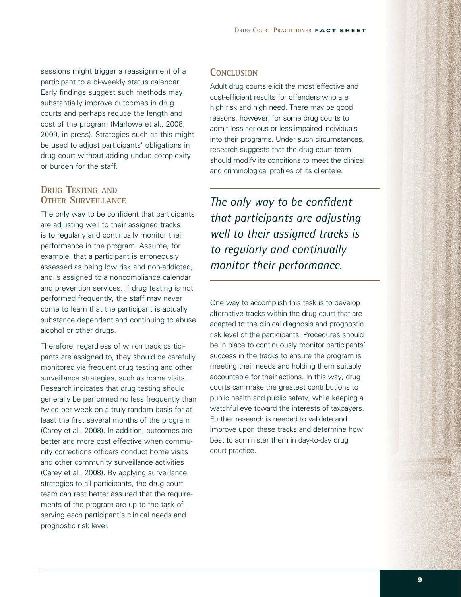sessions might trigger a reassignment of a participant to a bi-weekly status calendar. Early findings suggest such methods may substantially improve outcomes in drug courts and perhaps reduce the length and cost of the program (Marlowe et al., 2008, 2009, in press). Strategies such as this might be used to adjust participants' obligations in drug court without adding undue complexity or burden for the staff.

# **DRUG TESTING AND OTHER SURVEILLANCE**

The only way to be confident that participants are adjusting well to their assigned tracks is to regularly and continually monitor their performance in the program. Assume, for example, that a participant is erroneously assessed as being low risk and non-addicted, and is assigned to a noncompliance calendar and prevention services. If drug testing is not performed frequently, the staff may never come to learn that the participant is actually substance dependent and continuing to abuse alcohol or other drugs.

Therefore, regardless of which track participants are assigned to, they should be carefully monitored via frequent drug testing and other surveillance strategies, such as home visits. Research indicates that drug testing should generally be performed no less frequently than twice per week on a truly random basis for at least the first several months of the program (Carey et al., 2008). In addition, outcomes are better and more cost effective when community corrections officers conduct home visits and other community surveillance activities (Carey et al., 2008). By applying surveillance strategies to all participants, the drug court team can rest better assured that the requirements of the program are up to the task of serving each participant's clinical needs and prognostic risk level.

#### **CONCLUSION**

Adult drug courts elicit the most effective and cost-efficient results for offenders who are high risk and high need. There may be good reasons, however, for some drug courts to admit less-serious or less-impaired individuals into their programs. Under such circumstances, research suggests that the drug court team should modify its conditions to meet the clinical and criminological profiles of its clientele.

*The only way to be confident that participants are adjusting well to their assigned tracks is to regularly and continually monitor their performance.*

One way to accomplish this task is to develop alternative tracks within the drug court that are adapted to the clinical diagnosis and prognostic risk level of the participants. Procedures should be in place to continuously monitor participants' success in the tracks to ensure the program is meeting their needs and holding them suitably accountable for their actions. In this way, drug courts can make the greatest contributions to public health and public safety, while keeping a watchful eye toward the interests of taxpayers. Further research is needed to validate and improve upon these tracks and determine how best to administer them in day-to-day drug court practice.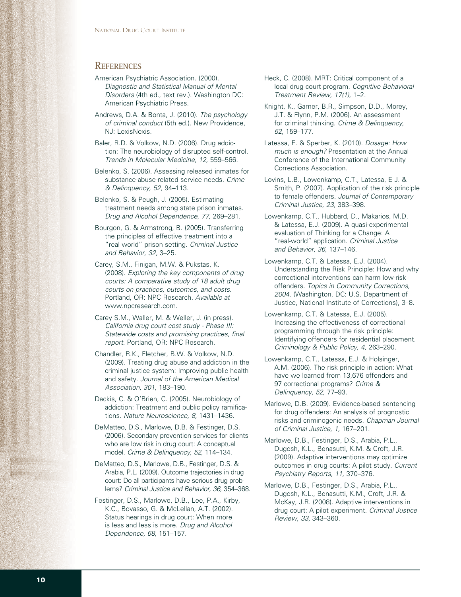#### **REFERENCES**

- American Psychiatric Association. (2000). *Diagnostic and Statistical Manual of Mental Disorders* (4th ed., text rev.). Washington DC: American Psychiatric Press.
- Andrews, D.A. & Bonta, J. (2010). *The psychology of criminal conduct* (5th ed.). New Providence, NJ: LexisNexis.
- Baler, R.D. & Volkow, N.D. (2006). Drug addiction: The neurobiology of disrupted self-control. *Trends in Molecular Medicine, 12,* 559–566.
- Belenko, S. (2006). Assessing released inmates for substance-abuse-related service needs. *Crime & Delinquency, 52,* 94–113.
- Belenko, S. & Peugh, J. (2005). Estimating treatment needs among state prison inmates. *Drug and Alcohol Dependence, 77,* 269–281.
- Bourgon, G. & Armstrong, B. (2005). Transferring the principles of effective treatment into a "real world" prison setting. *Criminal Justice and Behavior, 32,* 3–25.
- Carey, S.M., Finigan, M.W. & Pukstas, K. (2008). *Exploring the key components of drug courts: A comparative study of 18 adult drug courts on practices, outcomes, and costs.*  Portland, OR: NPC Research. *Available at*  www.npcresearch.com.
- Carey S.M., Waller, M. & Weller, J. (in press). *California drug court cost study - Phase III: Statewide costs and promising practices, final report.* Portland, OR: NPC Research.
- Chandler, R.K., Fletcher, B.W. & Volkow, N.D. (2009). Treating drug abuse and addiction in the criminal justice system: Improving public health and safety. *Journal of the American Medical Association, 301,* 183–190.
- Dackis, C. & O'Brien, C. (2005). Neurobiology of addiction: Treatment and public policy ramifications. *Nature Neuroscience, 8,* 1431–1436.
- DeMatteo, D.S., Marlowe, D.B. & Festinger, D.S. (2006). Secondary prevention services for clients who are low risk in drug court: A conceptual model. *Crime & Delinquency, 52,* 114–134.
- DeMatteo, D.S., Marlowe, D.B., Festinger, D.S. & Arabia, P.L. (2009). Outcome trajectories in drug court: Do all participants have serious drug problems? *Criminal Justice and Behavior, 36,* 354–368.
- Festinger, D.S., Marlowe, D.B., Lee, P.A., Kirby, K.C., Bovasso, G. & McLellan, A.T. (2002). Status hearings in drug court: When more is less and less is more. *Drug and Alcohol Dependence, 68,* 151–157.
- Heck, C. (2008). MRT: Critical component of a local drug court program. *Cognitive Behavioral Treatment Review, 17(1),* 1–2.
- Knight, K., Garner, B.R., Simpson, D.D., Morey, J.T. & Flynn, P.M. (2006). An assessment for criminal thinking. *Crime & Delinquency, 52,* 159–177.
- Latessa, E. & Sperber, K. (2010). *Dosage: How much is enough?* Presentation at the Annual Conference of the International Community Corrections Association.
- Lovins, L.B., Lowenkamp, C.T., Latessa, E J. & Smith, P. (2007). Application of the risk principle to female offenders. *Journal of Contemporary Criminal Justice, 23,* 383–398.
- Lowenkamp, C.T., Hubbard, D., Makarios, M.D. & Latessa, E.J. (2009). A quasi-experimental evaluation of Thinking for a Change: A "real-world" application. *Criminal Justice and Behavior, 36,* 137–146.
- Lowenkamp, C.T. & Latessa, E.J. (2004). Understanding the Risk Principle: How and why correctional interventions can harm low-risk offenders. *Topics in Community Corrections, 2004.* (Washington, DC: U.S. Department of Justice, National Institute of Corrections), 3–8.
- Lowenkamp, C.T. & Latessa, E.J. (2005). Increasing the effectiveness of correctional programming through the risk principle: Identifying offenders for residential placement. *Criminology & Public Policy, 4,* 263–290.
- Lowenkamp, C.T., Latessa, E.J. & Holsinger, A.M. (2006). The risk principle in action: What have we learned from 13,676 offenders and 97 correctional programs? *Crime & Delinquency, 52,* 77–93.
- Marlowe, D.B. (2009). Evidence-based sentencing for drug offenders: An analysis of prognostic risks and criminogenic needs. *Chapman Journal of Criminal Justice, 1,* 167–201.
- Marlowe, D.B., Festinger, D.S., Arabia, P.L., Dugosh, K.L., Benasutti, K.M. & Croft, J.R. (2009). Adaptive interventions may optimize outcomes in drug courts: A pilot study. *Current Psychiatry Reports, 11,* 370–376.
- Marlowe, D.B., Festinger, D.S., Arabia, P.L., Dugosh, K.L., Benasutti, K.M., Croft, J.R. & McKay, J.R. (2008). Adaptive interventions in drug court: A pilot experiment. *Criminal Justice Review, 33,* 343–360.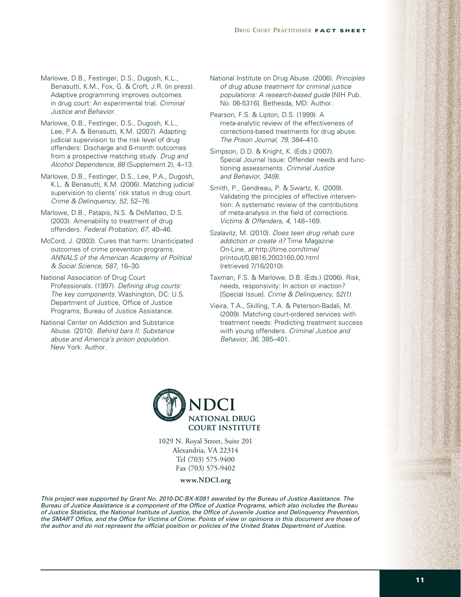Marlowe, D.B., Festinger, D.S., Dugosh, K.L., Benasutti, K.M., Fox, G. & Croft, J.R. (in press). Adaptive programming improves outcomes in drug court: An experimental trial. *Criminal Justice and Behavior.*

Marlowe, D.B., Festinger, D.S., Dugosh, K.L., Lee, P.A. & Benasutti, K.M. (2007). Adapting judicial supervision to the risk level of drug offenders: Discharge and 6-month outcomes from a prospective matching study. *Drug and Alcohol Dependence, 88* (Supplement 2), 4–13.

Marlowe, D.B., Festinger, D.S., Lee, P.A., Dugosh, K.L. & Benasutti, K.M. (2006). Matching judicial supervision to clients' risk status in drug court. *Crime & Delinquency, 52,* 52–76.

Marlowe, D.B., Patapis, N.S. & DeMatteo, D.S. (2003). Amenability to treatment of drug offenders. *Federal Probation, 67,* 40–46.

McCord, J. (2003). Cures that harm: Unanticipated outcomes of crime prevention programs. *ANNALS of the American Academy of Political & Social Science, 587,* 16–30.

National Association of Drug Court Professionals. (1997). *Defining drug courts: The key components.* Washington, DC: U.S. Department of Justice, Office of Justice Programs, Bureau of Justice Assistance.

National Center on Addiction and Substance Abuse. (2010). *Behind bars II: Substance abuse and America's prison population.*  New York: Author.

National Institute on Drug Abuse. (2006). *Principles of drug abuse treatment for criminal justice populations: A research-based guide* [NIH Pub. No. 06-5316]. Bethesda, MD: Author.

Pearson, F.S. & Lipton, D.S. (1999). A meta-analytic review of the effectiveness of corrections-based treatments for drug abuse. *The Prison Journal, 79,* 384–410.

Simpson, D.D. & Knight, K. (Eds.) (2007). Special Journal Issue: Offender needs and functioning assessments. *Criminal Justice and Behavior, 34(9).*

Smith, P., Gendreau, P. & Swartz, K. (2009). Validating the principles of effective intervention: A systematic review of the contributions of meta-analysis in the field of corrections. *Victims & Offenders, 4,* 148–169.

Szalavitz, M. (2010). *Does teen drug rehab cure addiction or create it?* Time Magazine On-Line, *at* http://time.com/time/ printout/0,8816,2003160,00.html (retrieved 7/16/2010).

Taxman, F.S. & Marlowe, D.B. (Eds.) (2006). Risk, needs, responsivity: In action or inaction? [Special Issue]. *Crime & Delinquency, 52(1).*

Vieira, T.A., Skilling, T.A. & Peterson-Badali, M. (2009). Matching court-ordered services with treatment needs: Predicting treatment success with young offenders. *Criminal Justice and Behavior, 36,* 385–401.



1029 N. Royal Street, Suite 201 Alexandria, VA 22314 Tel (703) 575-9400 Fax (703) 575-9402

**www.NDCI.org**

*This project was supported by Grant No. 2010-DC-BX-K081 awarded by the Bureau of Justice Assistance. The Bureau of Justice Assistance is a component of the Office of Justice Programs, which also includes the Bureau of Justice Statistics, the National Institute of Justice, the Office of Juvenile Justice and Delinquency Prevention, the SMART Office, and the Office for Victims of Crime. Points of view or opinions in this document are those of the author and do not represent the official position or policies of the United States Department of Justice.*